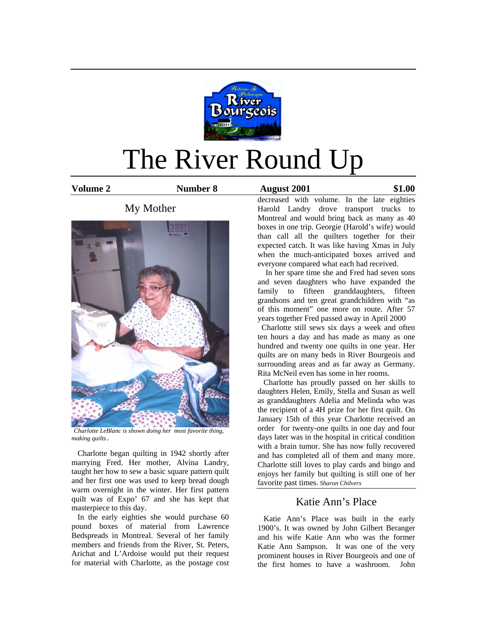

# The River Round Up

**Volume 2 Number 8 August 2001 \$1.00** 

# My Mother



*Charlotte LeBlanc is shown doing her most favorite thing, making quilts*.

 Charlotte began quilting in 1942 shortly after marrying Fred. Her mother, Alvina Landry, taught her how to sew a basic square pattern quilt and her first one was used to keep bread dough warm overnight in the winter. Her first pattern quilt was of Expo' 67 and she has kept that masterpiece to this day.

 In the early eighties she would purchase 60 pound boxes of material from Lawrence Bedspreads in Montreal. Several of her family members and friends from the River, St. Peters, Arichat and L'Ardoise would put their request for material with Charlotte, as the postage cost

decreased with volume. In the late eighties Harold Landry drove transport trucks to Montreal and would bring back as many as 40 boxes in one trip. Georgie (Harold's wife) would than call all the quilters together for their expected catch. It was like having Xmas in July when the much-anticipated boxes arrived and everyone compared what each had received.

 In her spare time she and Fred had seven sons and seven daughters who have expanded the family to fifteen granddaughters, fifteen grandsons and ten great grandchildren with "as of this moment" one more on route. After 57 years together Fred passed away in April 2000

 Charlotte still sews six days a week and often ten hours a day and has made as many as one hundred and twenty one quilts in one year. Her quilts are on many beds in River Bourgeois and surrounding areas and as far away as Germany. Rita McNeil even has some in her rooms.

 Charlotte has proudly passed on her skills to daughters Helen, Emily, Stella and Susan as well as granddaughters Adelia and Melinda who was the recipient of a 4H prize for her first quilt. On January 15th of this year Charlotte received an order for twenty-one quilts in one day and four days later was in the hospital in critical condition with a brain tumor. She has now fully recovered and has completed all of them and many more. Charlotte still loves to play cards and bingo and enjoys her family but quilting is still one of her favorite past times. *Sharon Chilvers* 

## Katie Ann's Place

 Katie Ann's Place was built in the early 1900's. It was owned by John Gilbert Beranger and his wife Katie Ann who was the former Katie Ann Sampson. It was one of the very prominent houses in River Bourgeois and one of the first homes to have a washroom. John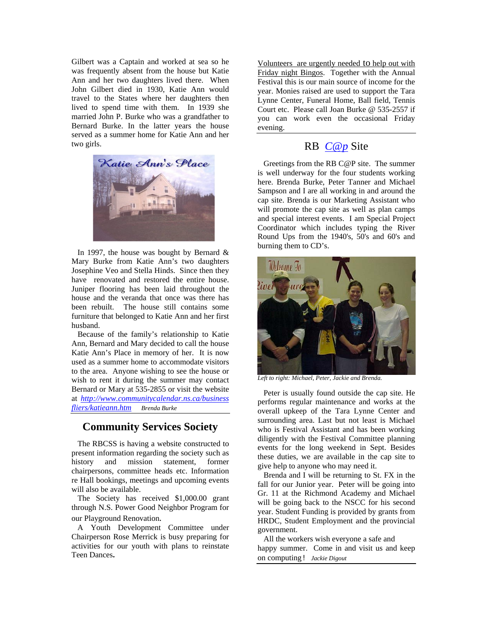Gilbert was a Captain and worked at sea so he was frequently absent from the house but Katie Ann and her two daughters lived there. When John Gilbert died in 1930, Katie Ann would travel to the States where her daughters then lived to spend time with them. In 1939 she married John P. Burke who was a grandfather to Bernard Burke. In the latter years the house served as a summer home for Katie Ann and her two girls.



In 1997, the house was bought by Bernard  $\&$ Mary Burke from Katie Ann's two daughters Josephine Veo and Stella Hinds. Since then they have renovated and restored the entire house. Juniper flooring has been laid throughout the house and the veranda that once was there has been rebuilt. The house still contains some furniture that belonged to Katie Ann and her first husband.

 Because of the family's relationship to Katie Ann, Bernard and Mary decided to call the house Katie Ann's Place in memory of her. It is now used as a summer home to accommodate visitors to the area. Anyone wishing to see the house or wish to rent it during the summer may contact Bernard or Mary at 535-2855 or visit the website at *http://www.communitycalendar.ns.ca/business fliers/katieann.htm Brenda Burke*

# **Community Services Society**

The RBCSS is having a website constructed to present information regarding the society such as history and mission statement, former chairpersons, committee heads etc. Information re Hall bookings, meetings and upcoming events will also be available.

 The Society has received \$1,000.00 grant through N.S. Power Good Neighbor Program for our Playground Renovation*.* 

A Youth Development Committee under Chairperson Rose Merrick is busy preparing for activities for our youth with plans to reinstate Teen Dances**.** 

Volunteers are urgently needed to help out with Friday night Bingos. Together with the Annual Festival this is our main source of income for the year. Monies raised are used to support the Tara Lynne Center, Funeral Home, Ball field, Tennis Court etc. Please call Joan Burke @ 535-2557 if you can work even the occasional Friday evening.

## RB *C@p* Site

 Greetings from the RB C@P site. The summer is well underway for the four students working here. Brenda Burke, Peter Tanner and Michael Sampson and I are all working in and around the cap site. Brenda is our Marketing Assistant who will promote the cap site as well as plan camps and special interest events. I am Special Project Coordinator which includes typing the River Round Ups from the 1940's, 50's and 60's and burning them to CD's.



*Left to right: Michael, Peter, Jackie and Brenda.* 

 Peter is usually found outside the cap site. He performs regular maintenance and works at the overall upkeep of the Tara Lynne Center and surrounding area. Last but not least is Michael who is Festival Assistant and has been working diligently with the Festival Committee planning events for the long weekend in Sept. Besides these duties, we are available in the cap site to give help to anyone who may need it.

 Brenda and I will be returning to St. FX in the fall for our Junior year. Peter will be going into Gr. 11 at the Richmond Academy and Michael will be going back to the NSCC for his second year. Student Funding is provided by grants from HRDC, Student Employment and the provincial government.

 All the workers wish everyone a safe and happy summer. Come in and visit us and keep on computing! *Jackie Digout*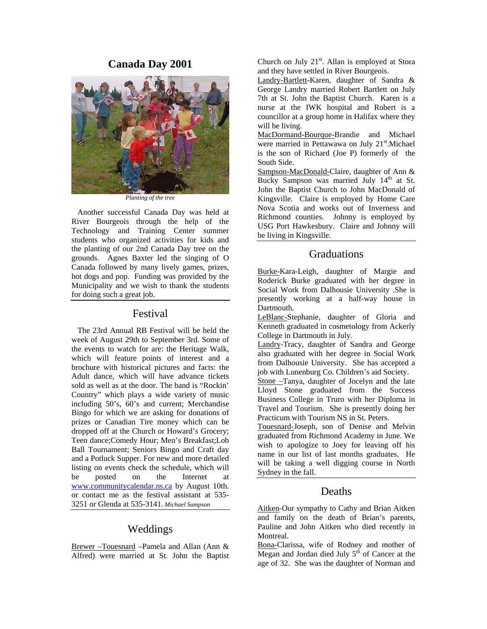#### **Canada Day 2001**



*Planting of the tree* 

 Another successful Canada Day was held at River Bourgeois through the help of the Technology and Training Center summer students who organized activities for kids and the planting of our 2nd Canada Day tree on the grounds. Agnes Baxter led the singing of O Canada followed by many lively games, prizes, hot dogs and pop. Funding was provided by the Municipality and we wish to thank the students for doing such a great job.

#### Festival

 The 23rd Annual RB Festival will be held the week of August 29th to September 3rd. Some of the events to watch for are: the Heritage Walk, which will feature points of interest and a brochure with historical pictures and facts: the Adult dance, which will have advance tickets sold as well as at the door. The band is "Rockin' Country" which plays a wide variety of music including 50's, 60's and current; Merchandise Bingo for which we are asking for donations of prizes or Canadian Tire money which can be dropped off at the Church or Howard's Grocery; Teen dance;Comedy Hour; Men's Breakfast;Lob Ball Tournament; Seniors Bingo and Craft day and a Potluck Supper. For new and more detailed listing on events check the schedule, which will be posted on the Internet at www.communitycalendar.ns.ca by August 10th. or contact me as the festival assistant at 535- 3251 or Glenda at 535-3141. *Michael Sampson*

## Weddings

Brewer –Touesnard –Pamela and Allan (Ann & Alfred) were married at St. John the Baptist Church on July  $21<sup>st</sup>$ . Allan is employed at Stora and they have settled in River Bourgeois.

Landry-Bartlett-Karen, daughter of Sandra & George Landry married Robert Bartlett on July 7th at St. John the Baptist Church. Karen is a nurse at the IWK hospital and Robert is a councillor at a group home in Halifax where they will be living.

MacDormand-Bourque-Brandie and Michael were married in Pettawawa on July 21<sup>st</sup>.Michael is the son of Richard (Joe P) formerly of the South Side.

Sampson-MacDonald-Claire, daughter of Ann & Bucky Sampson was married July 14<sup>th</sup> at St. John the Baptist Church to John MacDonald of Kingsville. Claire is employed by Home Care Nova Scotia and works out of Inverness and Richmond counties. Johnny is employed by USG Port Hawkesbury. Claire and Johnny will be living in Kingsville.

### Graduations

Burke-Kara-Leigh, daughter of Margie and Roderick Burke graduated with her degree in Social Work from Dalhousie University .She is presently working at a half-way house in Dartmouth.

LeBlanc-Stephanie, daughter of Gloria and Kenneth graduated in cosmetology from Ackerly College in Dartmouth in July.

Landry-Tracy, daughter of Sandra and George also graduated with her degree in Social Work from Dalhousie University. She has accepted a job with Lunenburg Co. Children's aid Society.

Stone –Tanya, daughter of Jocelyn and the late Lloyd Stone graduated from the Success Business College in Truro with her Diploma in Travel and Tourism. She is presently doing her Practicum with Tourism NS in St. Peters.

Touesnard-Joseph, son of Denise and Melvin graduated from Richmond Academy in June. We wish to apologize to Joey for leaving off his name in our list of last months graduates. He will be taking a well digging course in North Sydney in the fall.

#### Deaths

Aitken-Our sympathy to Cathy and Brian Aitken and family on the death of Brian's parents, Pauline and John Aitken who died recently in Montreal.

Bona-Clarissa, wife of Rodney and mother of Megan and Jordan died July  $5<sup>th</sup>$  of Cancer at the age of 32. She was the daughter of Norman and